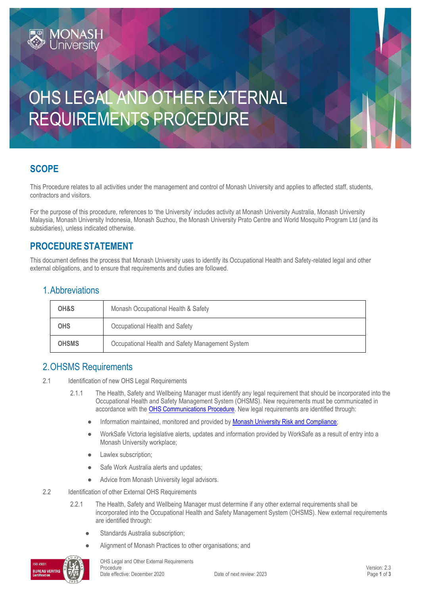# OHS LEGAL AND OTHER EXTERNAL REQUIREMENTS PROCEDURE

# **SCOPE**

This Procedure relates to all activities under the management and control of Monash University and applies to affected staff, students, contractors and visitors.

For the purpose of this procedure, references to 'the University' includes activity at Monash University Australia, Monash University Malaysia, Monash University Indonesia, Monash Suzhou, the Monash University Prato Centre and World Mosquito Program Ltd (and its subsidiaries), unless indicated otherwise.

# **PROCEDURE STATEMENT**

**MONASH**<br>University

This document defines the process that Monash University uses to identify its Occupational Health and Safety-related legal and other external obligations, and to ensure that requirements and duties are followed.

#### 1.Abbreviations

| OH&S         | Monash Occupational Health & Safety              |  |
|--------------|--------------------------------------------------|--|
| <b>OHS</b>   | Occupational Health and Safety                   |  |
| <b>OHSMS</b> | Occupational Health and Safety Management System |  |

# 2.OHSMS Requirements

- 2.1 Identification of new OHS Legal Requirements
	- 2.1.1 The Health, Safety and Wellbeing Manager must identify any legal requirement that should be incorporated into the Occupational Health and Safety Management System (OHSMS). New requirements must be communicated in accordance with the **OHS Communications Procedure**. New legal requirements are identified through:
		- Information maintained, monitored and provided by [Monash University Risk and Compliance;](http://www.intranet.monash/risk-compliance)
		- WorkSafe Victoria legislative alerts, updates and information provided by WorkSafe as a result of entry into a Monash University workplace;
		- Lawlex subscription;
		- Safe Work Australia alerts and updates;
		- Advice from Monash University legal advisors.
- 2.2 Identification of other External OHS Requirements
	- 2.2.1 The Health, Safety and Wellbeing Manager must determine if any other external requirements shall be incorporated into the Occupational Health and Safety Management System (OHSMS). New external requirements are identified through:
		- Standards Australia subscription;
		- Alignment of Monash Practices to other organisations; and

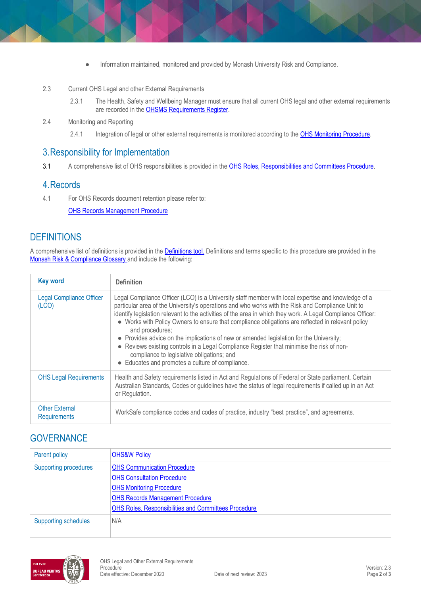- Information maintained, monitored and provided by Monash University Risk and Compliance.
- 2.3 Current OHS Legal and other External Requirements
	- 2.3.1 The Health, Safety and Wellbeing Manager must ensure that all current OHS legal and other external requirements are recorded in the **OHSMS Requirements Register**.
- 2.4 Monitoring and Reporting
	- 2.4.1 Integration of legal or other external requirements is monitored according to the [OHS Monitoring Procedure.](https://publicpolicydms.monash.edu/Monash/documents/1935632)

#### 3.Responsibility for Implementation

3.1 A comprehensive list of OHS responsibilities is provided in the [OHS Roles, Responsibilities and Committees Procedure](https://publicpolicydms.monash.edu/Monash/documents/1935644)[.](http://www.monash.edu/__data/assets/pdf_file/0005/129614/roles-responsibilities.pdf)

#### 4.Records

4.1 For OHS Records document retention please refer to:

**[OHS Records Management Procedure](https://publicpolicydms.monash.edu/Monash/documents/1935642)** 

# **DEFINITIONS**

A comprehensive list of definitions is provided in the **Definitions tool**. Definitions and terms specific to this procedure are provided in the [Monash Risk & Compliance Glossary a](http://www.intranet.monash/risk-compliance/glossary)nd include the following:

| <b>Key word</b>                              | <b>Definition</b>                                                                                                                                                                                                                                                                                                                                                                                                                                                                                                                                                                                                                                                                                                                         |
|----------------------------------------------|-------------------------------------------------------------------------------------------------------------------------------------------------------------------------------------------------------------------------------------------------------------------------------------------------------------------------------------------------------------------------------------------------------------------------------------------------------------------------------------------------------------------------------------------------------------------------------------------------------------------------------------------------------------------------------------------------------------------------------------------|
| <b>Legal Compliance Officer</b><br>(LCO)     | Legal Compliance Officer (LCO) is a University staff member with local expertise and knowledge of a<br>particular area of the University's operations and who works with the Risk and Compliance Unit to<br>identify legislation relevant to the activities of the area in which they work. A Legal Compliance Officer:<br>• Works with Policy Owners to ensure that compliance obligations are reflected in relevant policy<br>and procedures;<br>• Provides advice on the implications of new or amended legislation for the University;<br>• Reviews existing controls in a Legal Compliance Register that minimise the risk of non-<br>compliance to legislative obligations; and<br>• Educates and promotes a culture of compliance. |
| <b>OHS Legal Requirements</b>                | Health and Safety requirements listed in Act and Regulations of Federal or State parliament. Certain<br>Australian Standards, Codes or guidelines have the status of legal requirements if called up in an Act<br>or Regulation.                                                                                                                                                                                                                                                                                                                                                                                                                                                                                                          |
| <b>Other External</b><br><b>Requirements</b> | WorkSafe compliance codes and codes of practice, industry "best practice", and agreements.                                                                                                                                                                                                                                                                                                                                                                                                                                                                                                                                                                                                                                                |

# **GOVERNANCE**

| Parent policy                | <b>OHS&amp;W Policy</b>                                                                                                                                                                                       |
|------------------------------|---------------------------------------------------------------------------------------------------------------------------------------------------------------------------------------------------------------|
| <b>Supporting procedures</b> | <b>OHS Communication Procedure</b><br><b>OHS Consultation Procedure</b><br><b>OHS Monitoring Procedure</b><br><b>OHS Records Management Procedure</b><br>OHS Roles, Responsibilities and Committees Procedure |
| <b>Supporting schedules</b>  | N/A                                                                                                                                                                                                           |